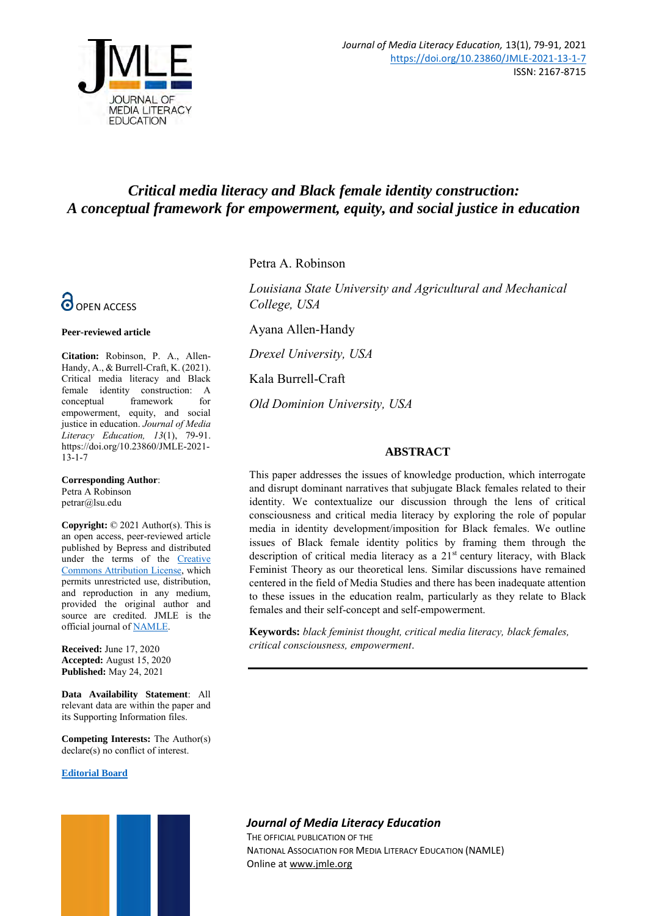

# *Critical media literacy and Black female identity construction: A conceptual framework for empowerment, equity, and social justice in education*



#### **Peer-reviewed article**

**Citation:** Robinson, P. A., Allen-Handy, A., & Burrell-Craft, K. (2021). Critical media literacy and Black female identity construction: A conceptual framework for empowerment, equity, and social justice in education. *Journal of Media Literacy Education, 13*(1), 79-91. [https://doi.org/10.23860/JMLE-2021-](https://doi.org/10.23860/JMLE-2021-13-1-7)  $13 - 1 - 7$ 

**Corresponding Author**: Petra A Robinson petrar@lsu.edu

**Copyright:** © 2021 Author(s). This is an open access, peer-reviewed article published by Bepress and distributed under the terms of the [Creative](https://creativecommons.org/licenses/by/4.0/)  [Commons Attribution License,](https://creativecommons.org/licenses/by/4.0/) which permits unrestricted use, distribution, and reproduction in any medium, provided the original author and source are credited. JMLE is the official journal o[f NAMLE.](https://namle.net/)

**Received:** June 17, 2020 **Accepted:** August 15, 2020 **Published:** May 24, 2021

**Data Availability Statement**: All relevant data are within the paper and its Supporting Information files.

**Competing Interests:** The Author(s) declare(s) no conflict of interest.

### **[Editorial Board](https://digitalcommons.uri.edu/jmle/editorialboard.html)**



Petra A. Robinson

*Louisiana State University and Agricultural and Mechanical College, USA*

Ayana Allen-Handy

*Drexel University, USA*

Kala Burrell-Craft

*Old Dominion University, USA*

## **ABSTRACT**

This paper addresses the issues of knowledge production, which interrogate and disrupt dominant narratives that subjugate Black females related to their identity. We contextualize our discussion through the lens of critical consciousness and critical media literacy by exploring the role of popular media in identity development/imposition for Black females. We outline issues of Black female identity politics by framing them through the description of critical media literacy as a  $21<sup>st</sup>$  century literacy, with Black Feminist Theory as our theoretical lens. Similar discussions have remained centered in the field of Media Studies and there has been inadequate attention to these issues in the education realm, particularly as they relate to Black females and their self-concept and self-empowerment.

**Keywords:** *black feminist thought, critical media literacy, black females, critical consciousness, empowerment*.

# *Journal of Media Literacy Education*

THE OFFICIAL PUBLICATION OF THE NATIONAL ASSOCIATION FOR MEDIA LITERACY EDUCATION (NAMLE) Online at [www.jmle.org](http://www.jmle.org/)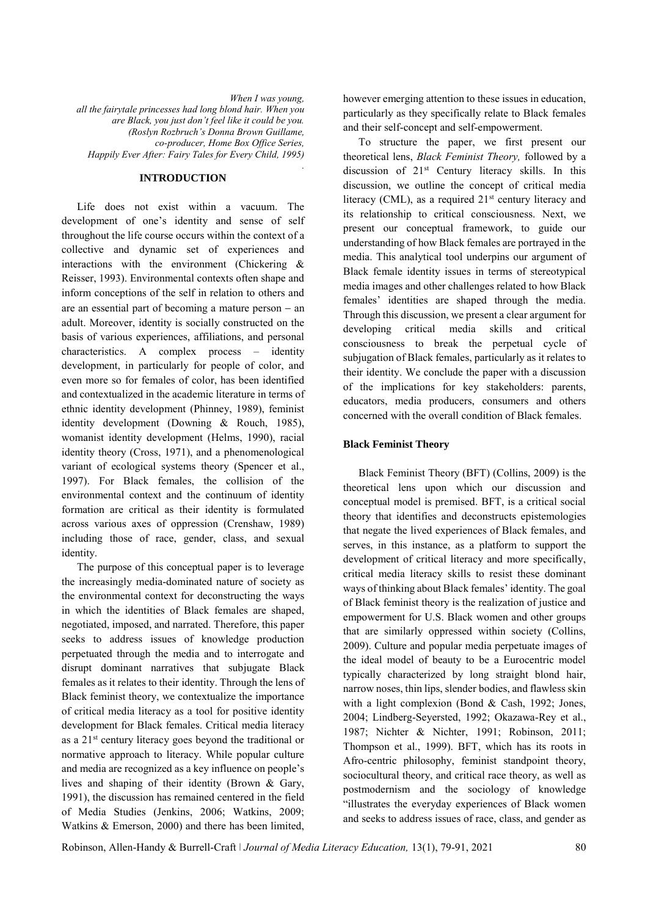*When I was young, all the fairytale princesses had long blond hair. When you are Black, you just don't feel like it could be you. (Roslyn Rozbruch's Donna Brown Guillame, co-producer, Home Box Office Series, Happily Ever After: Fairy Tales for Every Child, 1995) .* 

## **INTRODUCTION**

Life does not exist within a vacuum. The development of one's identity and sense of self throughout the life course occurs within the context of a collective and dynamic set of experiences and interactions with the environment (Chickering & Reisser, 1993). Environmental contexts often shape and inform conceptions of the self in relation to others and are an essential part of becoming a mature person  $-$  an adult. Moreover, identity is socially constructed on the basis of various experiences, affiliations, and personal characteristics. A complex process – identity development, in particularly for people of color, and even more so for females of color, has been identified and contextualized in the academic literature in terms of ethnic identity development (Phinney, 1989), feminist identity development (Downing & Rouch, 1985), womanist identity development (Helms, 1990), racial identity theory (Cross, 1971), and a phenomenological variant of ecological systems theory (Spencer et al., 1997). For Black females, the collision of the environmental context and the continuum of identity formation are critical as their identity is formulated across various axes of oppression (Crenshaw, 1989) including those of race, gender, class, and sexual identity.

The purpose of this conceptual paper is to leverage the increasingly media-dominated nature of society as the environmental context for deconstructing the ways in which the identities of Black females are shaped, negotiated, imposed, and narrated. Therefore, this paper seeks to address issues of knowledge production perpetuated through the media and to interrogate and disrupt dominant narratives that subjugate Black females as it relates to their identity. Through the lens of Black feminist theory, we contextualize the importance of critical media literacy as a tool for positive identity development for Black females. Critical media literacy as a 21st century literacy goes beyond the traditional or normative approach to literacy. While popular culture and media are recognized as a key influence on people's lives and shaping of their identity (Brown & Gary, 1991), the discussion has remained centered in the field of Media Studies (Jenkins, 2006; Watkins, 2009; Watkins & Emerson, 2000) and there has been limited,

however emerging attention to these issues in education, particularly as they specifically relate to Black females and their self-concept and self-empowerment.

To structure the paper, we first present our theoretical lens, *Black Feminist Theory,* followed by a discussion of  $21<sup>st</sup>$  Century literacy skills. In this discussion, we outline the concept of critical media literacy (CML), as a required  $21<sup>st</sup>$  century literacy and its relationship to critical consciousness. Next, we present our conceptual framework, to guide our understanding of how Black females are portrayed in the media. This analytical tool underpins our argument of Black female identity issues in terms of stereotypical media images and other challenges related to how Black females' identities are shaped through the media. Through this discussion, we present a clear argument for developing critical media skills and critical consciousness to break the perpetual cycle of subjugation of Black females, particularly as it relates to their identity. We conclude the paper with a discussion of the implications for key stakeholders: parents, educators, media producers, consumers and others concerned with the overall condition of Black females.

## **Black Feminist Theory**

Black Feminist Theory (BFT) (Collins, 2009) is the theoretical lens upon which our discussion and conceptual model is premised. BFT, is a critical social theory that identifies and deconstructs epistemologies that negate the lived experiences of Black females, and serves, in this instance, as a platform to support the development of critical literacy and more specifically, critical media literacy skills to resist these dominant ways of thinking about Black females' identity. The goal of Black feminist theory is the realization of justice and empowerment for U.S. Black women and other groups that are similarly oppressed within society (Collins, 2009). Culture and popular media perpetuate images of the ideal model of beauty to be a Eurocentric model typically characterized by long straight blond hair, narrow noses, thin lips, slender bodies, and flawless skin with a light complexion (Bond & Cash, 1992; Jones, 2004; Lindberg-Seyersted, 1992; Okazawa-Rey et al., 1987; Nichter & Nichter, 1991; Robinson, 2011; Thompson et al., 1999). BFT, which has its roots in Afro-centric philosophy, feminist standpoint theory, sociocultural theory, and critical race theory, as well as postmodernism and the sociology of knowledge "illustrates the everyday experiences of Black women and seeks to address issues of race, class, and gender as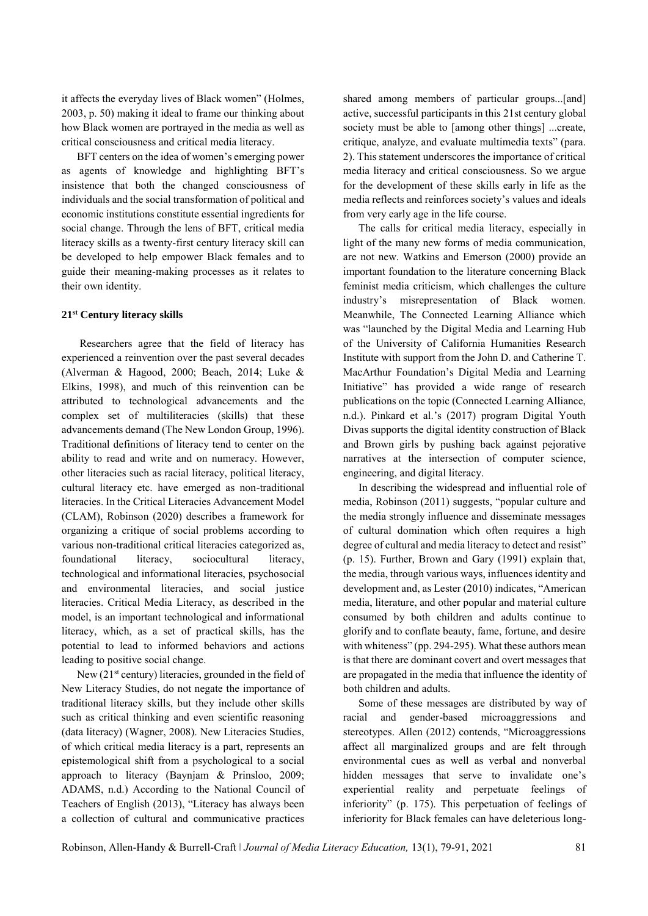it affects the everyday lives of Black women" (Holmes, 2003, p. 50) making it ideal to frame our thinking about how Black women are portrayed in the media as well as critical consciousness and critical media literacy.

BFT centers on the idea of women's emerging power as agents of knowledge and highlighting BFT's insistence that both the changed consciousness of individuals and the social transformation of political and economic institutions constitute essential ingredients for social change. Through the lens of BFT, critical media literacy skills as a twenty-first century literacy skill can be developed to help empower Black females and to guide their meaning-making processes as it relates to their own identity.

## **21st Century literacy skills**

Researchers agree that the field of literacy has experienced a reinvention over the past several decades (Alverman & Hagood, 2000; Beach, 2014; Luke & Elkins, 1998), and much of this reinvention can be attributed to technological advancements and the complex set of multiliteracies (skills) that these advancements demand (The New London Group, 1996). Traditional definitions of literacy tend to center on the ability to read and write and on numeracy. However, other literacies such as racial literacy, political literacy, cultural literacy etc. have emerged as non-traditional literacies. In the Critical Literacies Advancement Model (CLAM), Robinson (2020) describes a framework for organizing a critique of social problems according to various non-traditional critical literacies categorized as, foundational literacy, sociocultural literacy, technological and informational literacies, psychosocial and environmental literacies, and social justice literacies. Critical Media Literacy, as described in the model, is an important technological and informational literacy, which, as a set of practical skills, has the potential to lead to informed behaviors and actions leading to positive social change.

New  $(21<sup>st</sup>$  century) literacies, grounded in the field of New Literacy Studies, do not negate the importance of traditional literacy skills, but they include other skills such as critical thinking and even scientific reasoning (data literacy) (Wagner, 2008). New Literacies Studies, of which critical media literacy is a part, represents an epistemological shift from a psychological to a social approach to literacy (Baynjam & Prinsloo, 2009; ADAMS, n.d.) According to the National Council of Teachers of English (2013), "Literacy has always been a collection of cultural and communicative practices

shared among members of particular groups...[and] active, successful participants in this 21st century global society must be able to [among other things] ...create, critique, analyze, and evaluate multimedia texts" (para. 2). This statement underscores the importance of critical media literacy and critical consciousness. So we argue for the development of these skills early in life as the media reflects and reinforces society's values and ideals from very early age in the life course.

The calls for critical media literacy, especially in light of the many new forms of media communication, are not new. Watkins and Emerson (2000) provide an important foundation to the literature concerning Black feminist media criticism, which challenges the culture industry's misrepresentation of Black women. Meanwhile, The Connected Learning Alliance which was "launched by the Digital Media and Learning Hub of the University of California Humanities Research Institute with support from the John D. and Catherine T. MacArthur Foundation's Digital Media and Learning Initiative" has provided a wide range of research publications on the topic (Connected Learning Alliance, n.d.). Pinkard et al.'s (2017) program Digital Youth Divas supports the digital identity construction of Black and Brown girls by pushing back against pejorative narratives at the intersection of computer science, engineering, and digital literacy.

In describing the widespread and influential role of media, Robinson (2011) suggests, "popular culture and the media strongly influence and disseminate messages of cultural domination which often requires a high degree of cultural and media literacy to detect and resist" (p. 15). Further, Brown and Gary (1991) explain that, the media, through various ways, influences identity and development and, as Lester (2010) indicates, "American media, literature, and other popular and material culture consumed by both children and adults continue to glorify and to conflate beauty, fame, fortune, and desire with whiteness" (pp. 294-295). What these authors mean is that there are dominant covert and overt messages that are propagated in the media that influence the identity of both children and adults.

Some of these messages are distributed by way of racial and gender-based microaggressions and stereotypes. Allen (2012) contends, "Microaggressions affect all marginalized groups and are felt through environmental cues as well as verbal and nonverbal hidden messages that serve to invalidate one's experiential reality and perpetuate feelings of inferiority" (p. 175). This perpetuation of feelings of inferiority for Black females can have deleterious long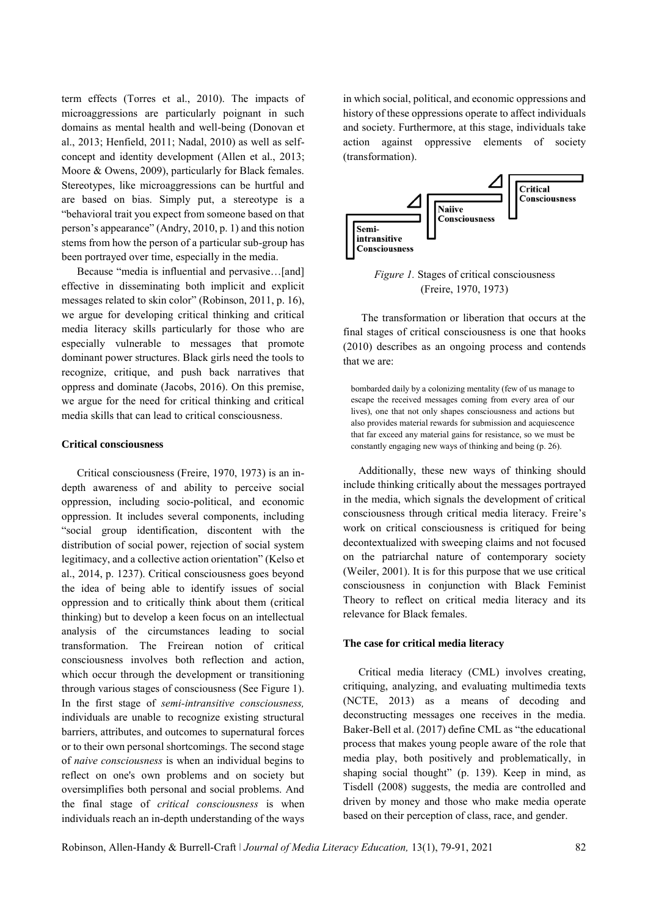term effects (Torres et al., 2010). The impacts of microaggressions are particularly poignant in such domains as mental health and well-being (Donovan et al., 2013; Henfield, 2011; Nadal, 2010) as well as selfconcept and identity development (Allen et al., 2013; Moore & Owens, 2009), particularly for Black females. Stereotypes, like microaggressions can be hurtful and are based on bias. Simply put, a stereotype is a "behavioral trait you expect from someone based on that person's appearance" (Andry, 2010, p. 1) and this notion stems from how the person of a particular sub-group has been portrayed over time, especially in the media.

Because "media is influential and pervasive...[and] effective in disseminating both implicit and explicit messages related to skin color" (Robinson, 2011, p. 16), we argue for developing critical thinking and critical media literacy skills particularly for those who are especially vulnerable to messages that promote dominant power structures. Black girls need the tools to recognize, critique, and push back narratives that oppress and dominate (Jacobs, 2016). On this premise, we argue for the need for critical thinking and critical media skills that can lead to critical consciousness.

#### **Critical consciousness**

Critical consciousness (Freire, 1970, 1973) is an indepth awareness of and ability to perceive social oppression, including socio-political, and economic oppression. It includes several components, including "social group identification, discontent with the distribution of social power, rejection of social system legitimacy, and a collective action orientation" (Kelso et al., 2014, p. 1237). Critical consciousness goes beyond the idea of being able to identify issues of social oppression and to critically think about them (critical thinking) but to develop a keen focus on an intellectual analysis of the circumstances leading to social transformation. The Freirean notion of critical consciousness involves both reflection and action, which occur through the development or transitioning through various stages of consciousness (See Figure 1). In the first stage of *semi-intransitive consciousness,*  individuals are unable to recognize existing structural barriers, attributes, and outcomes to supernatural forces or to their own personal shortcomings. The second stage of *naive consciousness* is when an individual begins to reflect on one's own problems and on society but oversimplifies both personal and social problems. And the final stage of *critical consciousness* is when individuals reach an in-depth understanding of the ways

in which social, political, and economic oppressions and history of these oppressions operate to affect individuals and society. Furthermore, at this stage, individuals take action against oppressive elements of society (transformation).



*Figure 1.* Stages of critical consciousness (Freire, 1970, 1973)

The transformation or liberation that occurs at the final stages of critical consciousness is one that hooks (2010) describes as an ongoing process and contends that we are:

bombarded daily by a colonizing mentality (few of us manage to escape the received messages coming from every area of our lives), one that not only shapes consciousness and actions but also provides material rewards for submission and acquiescence that far exceed any material gains for resistance, so we must be constantly engaging new ways of thinking and being (p. 26).

Additionally, these new ways of thinking should include thinking critically about the messages portrayed in the media, which signals the development of critical consciousness through critical media literacy. Freire's work on critical consciousness is critiqued for being decontextualized with sweeping claims and not focused on the patriarchal nature of contemporary society (Weiler, 2001). It is for this purpose that we use critical consciousness in conjunction with Black Feminist Theory to reflect on critical media literacy and its relevance for Black females.

#### **The case for critical media literacy**

Critical media literacy (CML) involves creating, critiquing, analyzing, and evaluating multimedia texts (NCTE, 2013) as a means of decoding and deconstructing messages one receives in the media. Baker-Bell et al. (2017) define CML as "the educational process that makes young people aware of the role that media play, both positively and problematically, in shaping social thought" (p. 139). Keep in mind, as Tisdell (2008) suggests, the media are controlled and driven by money and those who make media operate based on their perception of class, race, and gender.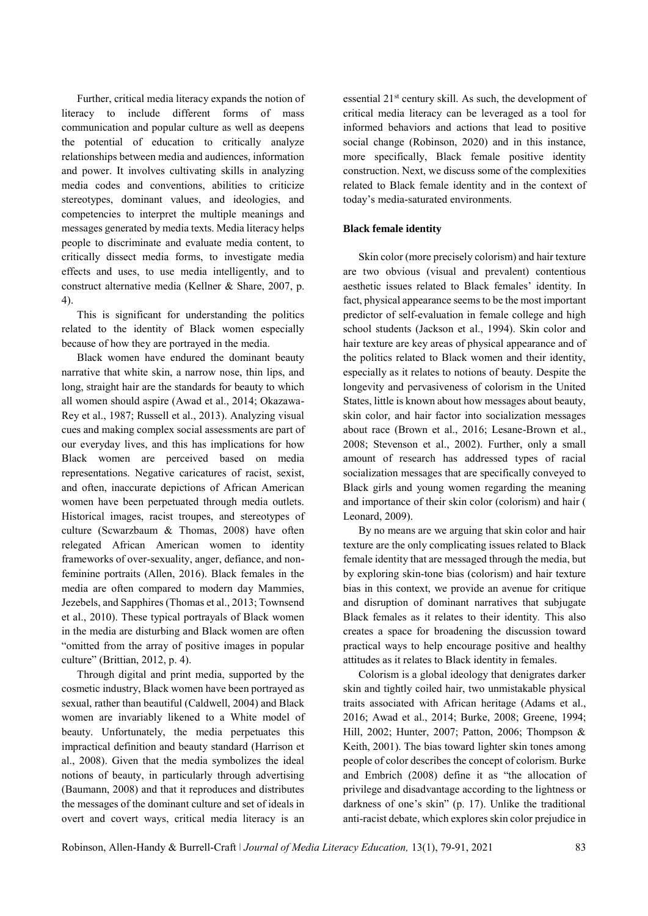Further, critical media literacy expands the notion of literacy to include different forms of mass communication and popular culture as well as deepens the potential of education to critically analyze relationships between media and audiences, information and power. It involves cultivating skills in analyzing media codes and conventions, abilities to criticize stereotypes, dominant values, and ideologies, and competencies to interpret the multiple meanings and messages generated by media texts. Media literacy helps people to discriminate and evaluate media content, to critically dissect media forms, to investigate media effects and uses, to use media intelligently, and to construct alternative media (Kellner & Share, 2007, p. 4).

This is significant for understanding the politics related to the identity of Black women especially because of how they are portrayed in the media.

Black women have endured the dominant beauty narrative that white skin, a narrow nose, thin lips, and long, straight hair are the standards for beauty to which all women should aspire (Awad et al., 2014; Okazawa-Rey et al., 1987; Russell et al., 2013). Analyzing visual cues and making complex social assessments are part of our everyday lives, and this has implications for how Black women are perceived based on media representations. Negative caricatures of racist, sexist, and often, inaccurate depictions of African American women have been perpetuated through media outlets. Historical images, racist troupes, and stereotypes of culture (Scwarzbaum & Thomas, 2008) have often relegated African American women to identity frameworks of over-sexuality, anger, defiance, and nonfeminine portraits (Allen, 2016). Black females in the media are often compared to modern day Mammies, Jezebels, and Sapphires (Thomas et al., 2013; Townsend et al., 2010). These typical portrayals of Black women in the media are disturbing and Black women are often "omitted from the array of positive images in popular culture" (Brittian, 2012, p. 4).

Through digital and print media, supported by the cosmetic industry, Black women have been portrayed as sexual, rather than beautiful (Caldwell, 2004) and Black women are invariably likened to a White model of beauty. Unfortunately, the media perpetuates this impractical definition and beauty standard (Harrison et al., 2008). Given that the media symbolizes the ideal notions of beauty, in particularly through advertising (Baumann, 2008) and that it reproduces and distributes the messages of the dominant culture and set of ideals in overt and covert ways, critical media literacy is an

essential 21st century skill. As such, the development of critical media literacy can be leveraged as a tool for informed behaviors and actions that lead to positive social change (Robinson, 2020) and in this instance, more specifically, Black female positive identity construction. Next, we discuss some of the complexities related to Black female identity and in the context of today's media-saturated environments.

## **Black female identity**

Skin color (more precisely colorism) and hair texture are two obvious (visual and prevalent) contentious aesthetic issues related to Black females' identity. In fact, physical appearance seems to be the most important predictor of self-evaluation in female college and high school students (Jackson et al., 1994). Skin color and hair texture are key areas of physical appearance and of the politics related to Black women and their identity, especially as it relates to notions of beauty. Despite the longevity and pervasiveness of colorism in the United States, little is known about how messages about beauty, skin color, and hair factor into socialization messages about race (Brown et al., 2016; Lesane-Brown et al., 2008; Stevenson et al., 2002). Further, only a small amount of research has addressed types of racial socialization messages that are specifically conveyed to Black girls and young women regarding the meaning and importance of their skin color (colorism) and hair ( Leonard, 2009).

By no means are we arguing that skin color and hair texture are the only complicating issues related to Black female identity that are messaged through the media, but by exploring skin-tone bias (colorism) and hair texture bias in this context, we provide an avenue for critique and disruption of dominant narratives that subjugate Black females as it relates to their identity*.* This also creates a space for broadening the discussion toward practical ways to help encourage positive and healthy attitudes as it relates to Black identity in females.

Colorism is a global ideology that denigrates darker skin and tightly coiled hair, two unmistakable physical traits associated with African heritage (Adams et al., 2016; Awad et al., 2014; Burke, 2008; Greene, 1994; Hill, 2002; Hunter, 2007; Patton, 2006; Thompson & Keith, 2001). The bias toward lighter skin tones among people of color describes the concept of colorism. Burke and Embrich (2008) define it as "the allocation of privilege and disadvantage according to the lightness or darkness of one's skin" (p. 17). Unlike the traditional anti-racist debate, which explores skin color prejudice in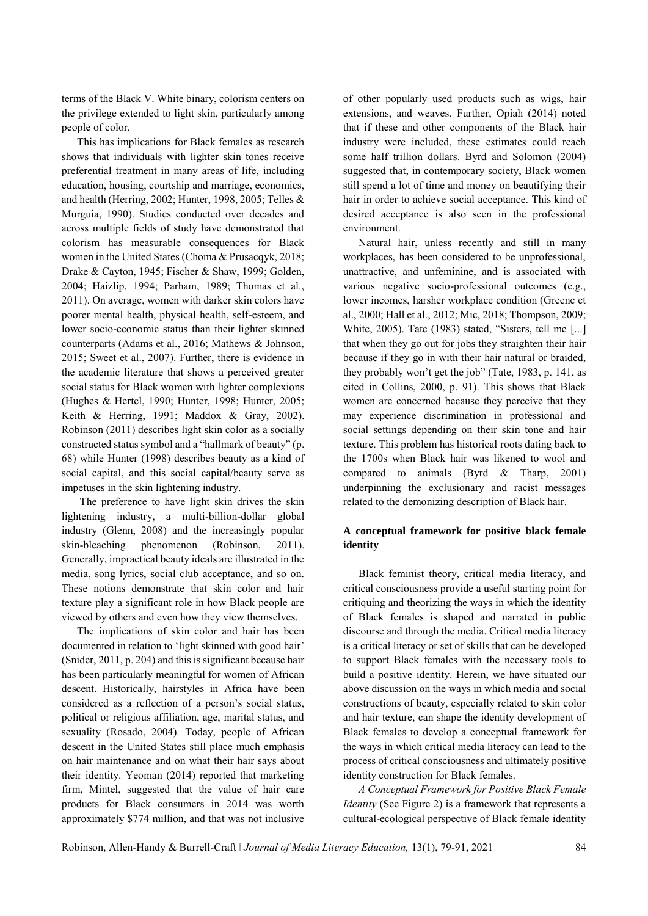terms of the Black V. White binary, colorism centers on the privilege extended to light skin, particularly among people of color.

This has implications for Black females as research shows that individuals with lighter skin tones receive preferential treatment in many areas of life, including education, housing, courtship and marriage, economics, and health (Herring, 2002; Hunter, 1998, 2005; Telles & Murguia, 1990). Studies conducted over decades and across multiple fields of study have demonstrated that colorism has measurable consequences for Black women in the United States (Choma & Prusacqyk, 2018; Drake & Cayton, 1945; Fischer & Shaw, 1999; Golden, 2004; Haizlip, 1994; Parham, 1989; Thomas et al., 2011). On average, women with darker skin colors have poorer mental health, physical health, self-esteem, and lower socio-economic status than their lighter skinned counterparts (Adams et al., 2016; Mathews & Johnson, 2015; Sweet et al., 2007). Further, there is evidence in the academic literature that shows a perceived greater social status for Black women with lighter complexions (Hughes & Hertel, 1990; Hunter, 1998; Hunter, 2005; Keith & Herring, 1991; Maddox & Gray, 2002). Robinson (2011) describes light skin color as a socially constructed status symbol and a "hallmark of beauty" (p. 68) while Hunter (1998) describes beauty as a kind of social capital, and this social capital/beauty serve as impetuses in the skin lightening industry.

The preference to have light skin drives the skin lightening industry, a multi-billion-dollar global industry (Glenn, 2008) and the increasingly popular skin-bleaching phenomenon (Robinson, 2011). Generally, impractical beauty ideals are illustrated in the media, song lyrics, social club acceptance, and so on. These notions demonstrate that skin color and hair texture play a significant role in how Black people are viewed by others and even how they view themselves.

The implications of skin color and hair has been documented in relation to 'light skinned with good hair' (Snider, 2011, p. 204) and this is significant because hair has been particularly meaningful for women of African descent. Historically, hairstyles in Africa have been considered as a reflection of a person's social status, political or religious affiliation, age, marital status, and sexuality (Rosado, 2004). Today, people of African descent in the United States still place much emphasis on hair maintenance and on what their hair says about their identity. Yeoman (2014) reported that marketing firm, Mintel, suggested that the value of hair care products for Black consumers in 2014 was worth approximately \$774 million, and that was not inclusive

of other popularly used products such as wigs, hair extensions, and weaves. Further, Opiah (2014) noted that if these and other components of the Black hair industry were included, these estimates could reach some half trillion dollars. Byrd and Solomon (2004) suggested that, in contemporary society, Black women still spend a lot of time and money on beautifying their hair in order to achieve social acceptance. This kind of desired acceptance is also seen in the professional environment.

Natural hair, unless recently and still in many workplaces, has been considered to be unprofessional, unattractive, and unfeminine, and is associated with various negative socio-professional outcomes (e.g., lower incomes, harsher workplace condition (Greene et al., 2000; Hall et al., 2012; Mic, 2018; Thompson, 2009; White, 2005). Tate (1983) stated, "Sisters, tell me [...] that when they go out for jobs they straighten their hair because if they go in with their hair natural or braided, they probably won't get the job" (Tate, 1983, p. 141, as cited in Collins, 2000, p. 91). This shows that Black women are concerned because they perceive that they may experience discrimination in professional and social settings depending on their skin tone and hair texture. This problem has historical roots dating back to the 1700s when Black hair was likened to wool and compared to animals (Byrd & Tharp, 2001) underpinning the exclusionary and racist messages related to the demonizing description of Black hair.

## **A conceptual framework for positive black female identity**

Black feminist theory, critical media literacy, and critical consciousness provide a useful starting point for critiquing and theorizing the ways in which the identity of Black females is shaped and narrated in public discourse and through the media. Critical media literacy is a critical literacy or set of skills that can be developed to support Black females with the necessary tools to build a positive identity. Herein, we have situated our above discussion on the ways in which media and social constructions of beauty, especially related to skin color and hair texture, can shape the identity development of Black females to develop a conceptual framework for the ways in which critical media literacy can lead to the process of critical consciousness and ultimately positive identity construction for Black females.

*A Conceptual Framework for Positive Black Female Identity* (See Figure 2) is a framework that represents a cultural-ecological perspective of Black female identity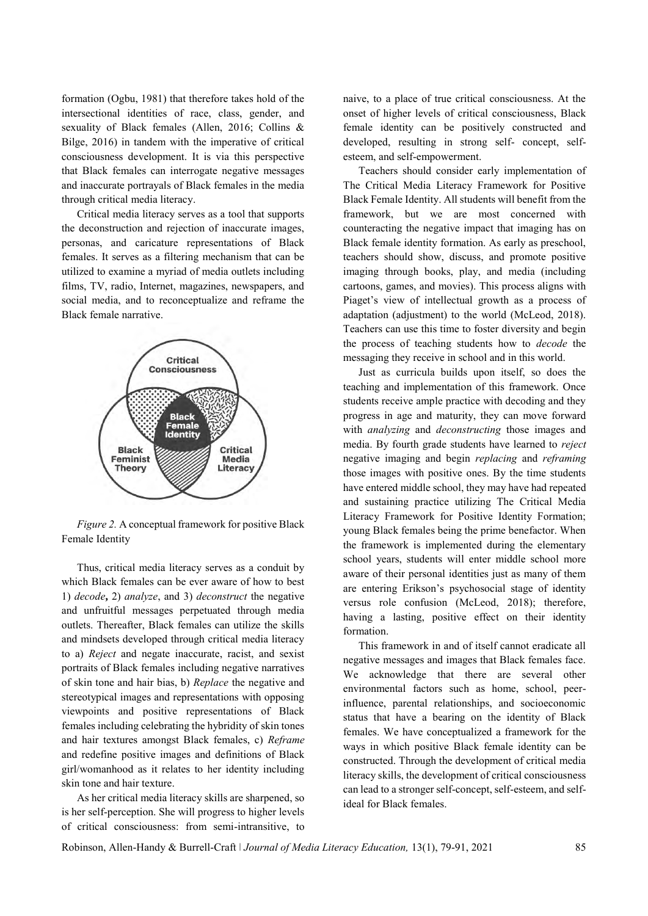formation (Ogbu, 1981) that therefore takes hold of the intersectional identities of race, class, gender, and sexuality of Black females (Allen, 2016; Collins & Bilge, 2016) in tandem with the imperative of critical consciousness development. It is via this perspective that Black females can interrogate negative messages and inaccurate portrayals of Black females in the media through critical media literacy.

Critical media literacy serves as a tool that supports the deconstruction and rejection of inaccurate images, personas, and caricature representations of Black females. It serves as a filtering mechanism that can be utilized to examine a myriad of media outlets including films, TV, radio, Internet, magazines, newspapers, and social media, and to reconceptualize and reframe the Black female narrative.



*Figure 2.* A conceptual framework for positive Black Female Identity

Thus, critical media literacy serves as a conduit by which Black females can be ever aware of how to best 1) *decode***,** 2) *analyze*, and 3) *deconstruct* the negative and unfruitful messages perpetuated through media outlets. Thereafter, Black females can utilize the skills and mindsets developed through critical media literacy to a) *Reject* and negate inaccurate, racist, and sexist portraits of Black females including negative narratives of skin tone and hair bias, b) *Replace* the negative and stereotypical images and representations with opposing viewpoints and positive representations of Black females including celebrating the hybridity of skin tones and hair textures amongst Black females, c) *Reframe* and redefine positive images and definitions of Black girl/womanhood as it relates to her identity including skin tone and hair texture.

As her critical media literacy skills are sharpened, so is her self-perception. She will progress to higher levels of critical consciousness: from semi-intransitive, to naive, to a place of true critical consciousness. At the onset of higher levels of critical consciousness, Black female identity can be positively constructed and developed, resulting in strong self- concept, selfesteem, and self-empowerment.

Teachers should consider early implementation of The Critical Media Literacy Framework for Positive Black Female Identity. All students will benefit from the framework, but we are most concerned with counteracting the negative impact that imaging has on Black female identity formation. As early as preschool, teachers should show, discuss, and promote positive imaging through books, play, and media (including cartoons, games, and movies). This process aligns with Piaget's view of intellectual growth as a process of adaptation (adjustment) to the world (McLeod, 2018). Teachers can use this time to foster diversity and begin the process of teaching students how to *decode* the messaging they receive in school and in this world.

Just as curricula builds upon itself, so does the teaching and implementation of this framework. Once students receive ample practice with decoding and they progress in age and maturity, they can move forward with *analyzing* and *deconstructing* those images and media. By fourth grade students have learned to *reject* negative imaging and begin *replacing* and *reframing* those images with positive ones. By the time students have entered middle school, they may have had repeated and sustaining practice utilizing The Critical Media Literacy Framework for Positive Identity Formation; young Black females being the prime benefactor. When the framework is implemented during the elementary school years, students will enter middle school more aware of their personal identities just as many of them are entering Erikson's psychosocial stage of identity versus role confusion (McLeod, 2018); therefore, having a lasting, positive effect on their identity formation.

This framework in and of itself cannot eradicate all negative messages and images that Black females face. We acknowledge that there are several other environmental factors such as home, school, peerinfluence, parental relationships, and socioeconomic status that have a bearing on the identity of Black females. We have conceptualized a framework for the ways in which positive Black female identity can be constructed. Through the development of critical media literacy skills, the development of critical consciousness can lead to a stronger self-concept, self-esteem, and selfideal for Black females.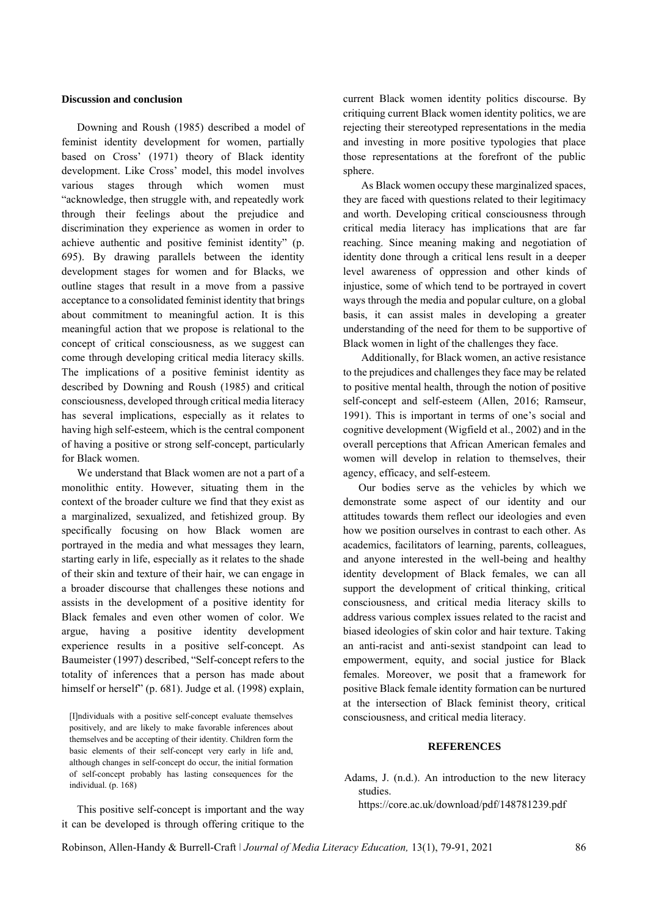### **Discussion and conclusion**

Downing and Roush (1985) described a model of feminist identity development for women, partially based on Cross' (1971) theory of Black identity development. Like Cross' model, this model involves various stages through which women must "acknowledge, then struggle with, and repeatedly work through their feelings about the prejudice and discrimination they experience as women in order to achieve authentic and positive feminist identity" (p. 695). By drawing parallels between the identity development stages for women and for Blacks, we outline stages that result in a move from a passive acceptance to a consolidated feminist identity that brings about commitment to meaningful action. It is this meaningful action that we propose is relational to the concept of critical consciousness, as we suggest can come through developing critical media literacy skills. The implications of a positive feminist identity as described by Downing and Roush (1985) and critical consciousness, developed through critical media literacy has several implications, especially as it relates to having high self-esteem, which is the central component of having a positive or strong self-concept, particularly for Black women.

We understand that Black women are not a part of a monolithic entity. However, situating them in the context of the broader culture we find that they exist as a marginalized, sexualized, and fetishized group. By specifically focusing on how Black women are portrayed in the media and what messages they learn, starting early in life, especially as it relates to the shade of their skin and texture of their hair, we can engage in a broader discourse that challenges these notions and assists in the development of a positive identity for Black females and even other women of color. We argue, having a positive identity development experience results in a positive self-concept. As Baumeister (1997) described, "Self-concept refers to the totality of inferences that a person has made about himself or herself" (p. 681). Judge et al. (1998) explain,

[I]ndividuals with a positive self-concept evaluate themselves positively, and are likely to make favorable inferences about themselves and be accepting of their identity. Children form the basic elements of their self-concept very early in life and, although changes in self-concept do occur, the initial formation of self-concept probably has lasting consequences for the individual. (p. 168)

This positive self-concept is important and the way it can be developed is through offering critique to the

current Black women identity politics discourse. By critiquing current Black women identity politics, we are rejecting their stereotyped representations in the media and investing in more positive typologies that place those representations at the forefront of the public sphere.

As Black women occupy these marginalized spaces, they are faced with questions related to their legitimacy and worth. Developing critical consciousness through critical media literacy has implications that are far reaching. Since meaning making and negotiation of identity done through a critical lens result in a deeper level awareness of oppression and other kinds of injustice, some of which tend to be portrayed in covert ways through the media and popular culture, on a global basis, it can assist males in developing a greater understanding of the need for them to be supportive of Black women in light of the challenges they face.

Additionally, for Black women, an active resistance to the prejudices and challenges they face may be related to positive mental health, through the notion of positive self-concept and self-esteem (Allen, 2016; Ramseur, 1991). This is important in terms of one's social and cognitive development (Wigfield et al., 2002) and in the overall perceptions that African American females and women will develop in relation to themselves, their agency, efficacy, and self-esteem.

Our bodies serve as the vehicles by which we demonstrate some aspect of our identity and our attitudes towards them reflect our ideologies and even how we position ourselves in contrast to each other. As academics, facilitators of learning, parents, colleagues, and anyone interested in the well-being and healthy identity development of Black females, we can all support the development of critical thinking, critical consciousness, and critical media literacy skills to address various complex issues related to the racist and biased ideologies of skin color and hair texture. Taking an anti-racist and anti-sexist standpoint can lead to empowerment, equity, and social justice for Black females. Moreover, we posit that a framework for positive Black female identity formation can be nurtured at the intersection of Black feminist theory, critical consciousness, and critical media literacy.

### **REFERENCES**

Adams, J. (n.d.). An introduction to the new literacy studies.

<https://core.ac.uk/download/pdf/148781239.pdf>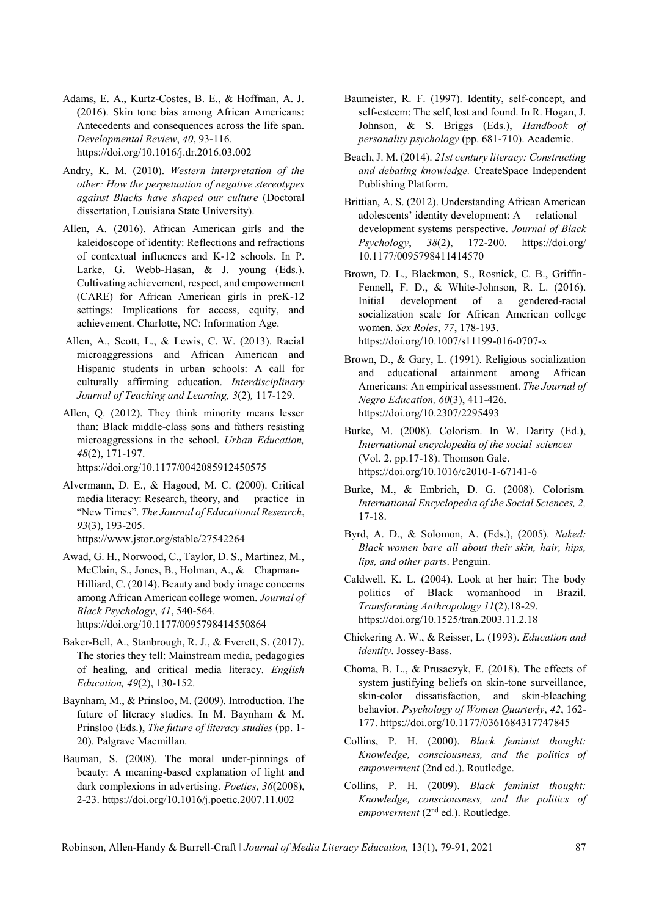- Adams, E. A., Kurtz-Costes, B. E., & Hoffman, A. J. (2016). Skin tone bias among African Americans: Antecedents and consequences across the life span. *Developmental Review*, *40*, 93-116. <https://doi.org/10.1016/j.dr.2016.03.002>
- Andry, K. M. (2010). *Western interpretation of the other: How the perpetuation of negative stereotypes against Blacks have shaped our culture* (Doctoral dissertation, Louisiana State University).
- Allen, A. (2016). African American girls and the kaleidoscope of identity: Reflections and refractions of contextual influences and K-12 schools. In P. Larke, G. Webb-Hasan, & J. young (Eds.). Cultivating achievement, respect, and empowerment (CARE) for African American girls in preK-12 settings: Implications for access, equity, and achievement. Charlotte, NC: Information Age.
- Allen, A., Scott, L., & Lewis, C. W. (2013). Racial microaggressions and African American and Hispanic students in urban schools: A call for culturally affirming education. *Interdisciplinary Journal of Teaching and Learning, 3*(2)*,* 117-129.
- Allen, Q. (2012). They think minority means lesser than: Black middle-class sons and fathers resisting microaggressions in the school. *Urban Education, 48*(2), 171-197.

<https://doi.org/10.1177/0042085912450575>

- Alvermann, D. E., & Hagood, M. C. (2000). Critical media literacy: Research, theory, and practice in "New Times". *The Journal of Educational Research*, *93*(3), 193-205. <https://www.jstor.org/stable/27542264>
- Awad, G. H., Norwood, C., Taylor, D. S., Martinez, M., McClain, S., Jones, B., Holman, A., & Chapman-Hilliard, C. (2014). Beauty and body image concerns among African American college women. *Journal of Black Psychology*, *41*, 540-564. <https://doi.org/10.1177/0095798414550864>
- Baker-Bell, A., Stanbrough, R. J., & Everett, S. (2017). The stories they tell: Mainstream media, pedagogies of healing, and critical media literacy. *English Education, 49*(2), 130-152.
- Baynham, M., & Prinsloo, M. (2009). Introduction. The future of literacy studies. In M. Baynham & M. Prinsloo (Eds.), *The future of literacy studies* (pp. 1- 20). Palgrave Macmillan.
- Bauman, S. (2008). The moral under-pinnings of beauty: A meaning-based explanation of light and dark complexions in advertising. *Poetics*, *36*(2008), 2-23.<https://doi.org/10.1016/j.poetic.2007.11.002>
- Baumeister, R. F. (1997). Identity, self-concept, and self-esteem: The self, lost and found. In R. Hogan, J. Johnson, & S. Briggs (Eds.), *Handbook of personality psychology* (pp. 681-710). Academic.
- Beach, J. M. (2014). *21st century literacy: Constructing and debating knowledge.* CreateSpace Independent Publishing Platform.
- Brittian, A. S. (2012). Understanding African American adolescents' identity development: A relational development systems perspective. *Journal of Black Psychology*, *38*(2), 172-200. [https://doi.org/](https://doi.org/%2010.1177/0095798411414570)  [10.1177/0095798411414570](https://doi.org/%2010.1177/0095798411414570)
- Brown, D. L., Blackmon, S., Rosnick, C. B., Griffin-Fennell, F. D., & White-Johnson, R. L. (2016). Initial development of a gendered-racial socialization scale for African American college women. *Sex Roles*, *77*, 178-193. https://doi.org/10.1007/s11199-016-0707-x
- Brown, D., & Gary, L. (1991). Religious socialization and educational attainment among African Americans: An empirical assessment. *The Journal of Negro Education, 60*(3), 411-426. <https://doi.org/10.2307/2295493>
- Burke, M. (2008). Colorism. In W. Darity (Ed.), *International encyclopedia of the social sciences* (Vol. 2, pp.17-18). Thomson Gale. <https://doi.org/10.1016/c2010-1-67141-6>
- Burke, M., & Embrich, D. G. (2008). Colorism*. International Encyclopedia of the Social Sciences, 2,*  17-18.
- Byrd, A. D., & Solomon, A. (Eds.), (2005). *Naked: Black women bare all about their skin, hair, hips, lips, and other parts*. Penguin.
- Caldwell, K. L. (2004). Look at her hair: The body politics of Black womanhood in Brazil. *Transforming Anthropology 11*(2),18-29. <https://doi.org/10.1525/tran.2003.11.2.18>
- Chickering A. W., & Reisser, L. (1993). *Education and identity*. Jossey-Bass.
- Choma, B. L., & Prusaczyk, E. (2018). The effects of system justifying beliefs on skin-tone surveillance, skin-color dissatisfaction, and skin-bleaching behavior. *Psychology of Women Quarterly*, *42*, 162- 177[. https://doi.org/10.1177/0361684317747845](https://doi.org/10.1177/0361684317747845)
- Collins, P. H. (2000). *Black feminist thought: Knowledge, consciousness, and the politics of empowerment* (2nd ed.). Routledge.
- Collins, P. H. (2009). *Black feminist thought: Knowledge, consciousness, and the politics of empowerment* (2<sup>nd</sup> ed.). Routledge.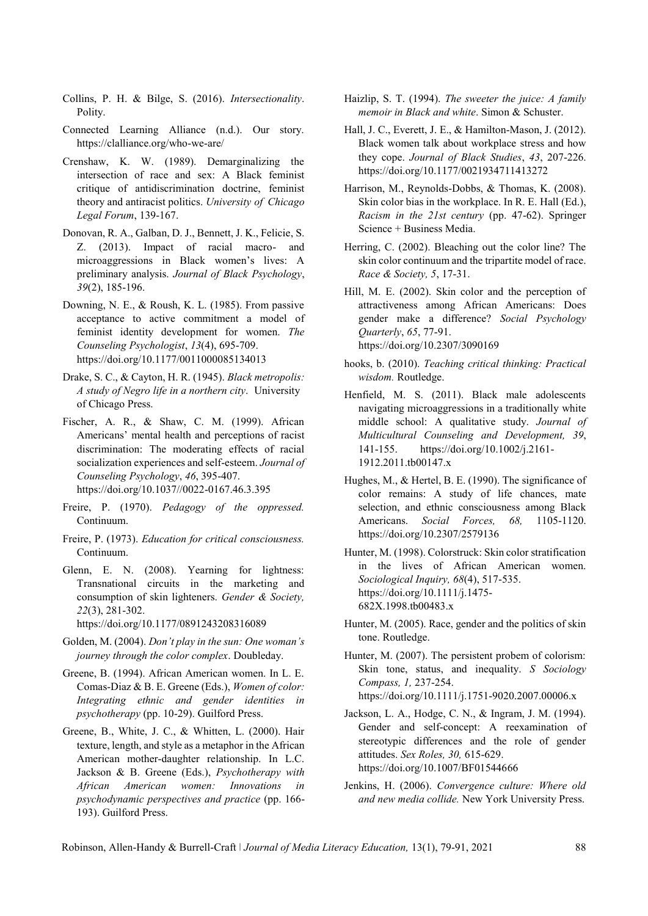- Collins, P. H. & Bilge, S. (2016). *Intersectionality*. Polity.
- Connected Learning Alliance (n.d.). Our story. <https://clalliance.org/who-we-are/>
- Crenshaw, K. W. (1989). Demarginalizing the intersection of race and sex: A Black feminist critique of antidiscrimination doctrine, feminist theory and antiracist politics. *University of Chicago Legal Forum*, 139-167.
- Donovan, R. A., Galban, D. J., Bennett, J. K., Felicie, S. Z. (2013). Impact of racial macro- and microaggressions in Black women's lives: A preliminary analysis. *Journal of Black Psychology*, *39*(2), 185-196.
- Downing, N. E., & Roush, K. L. (1985). From passive acceptance to active commitment a model of feminist identity development for women. *The Counseling Psychologist*, *13*(4), 695-709. <https://doi.org/10.1177/0011000085134013>
- Drake, S. C., & Cayton, H. R. (1945). *Black metropolis: A study of Negro life in a northern city*. University of Chicago Press.
- Fischer, A. R., & Shaw, C. M. (1999). African Americans' mental health and perceptions of racist discrimination: The moderating effects of racial socialization experiences and self-esteem. *Journal of Counseling Psychology*, *46*, 395-407. [https://doi.org/10.1037//0022-0167.46.3.395](https://doi.org/10.1037/0022-%090167.46.3.395)
- Freire, P. (1970). *Pedagogy of the oppressed.*  Continuum.
- Freire, P. (1973). *Education for critical consciousness.*  Continuum.
- Glenn, E. N. (2008). Yearning for lightness: Transnational circuits in the marketing and consumption of skin lighteners. *Gender & Society, 22*(3), 281-302.
	- <https://doi.org/10.1177/0891243208316089>
- Golden, M. (2004). *Don't play in the sun: One woman's journey through the color complex*. Doubleday.
- Greene, B. (1994). African American women. In L. E. Comas-Diaz & B. E. Greene (Eds.), *Women of color: Integrating ethnic and gender identities in psychotherapy* (pp. 10-29). Guilford Press.
- Greene, B., White, J. C., & Whitten, L. (2000). Hair texture, length, and style as a metaphor in the African American mother-daughter relationship. In L.C. Jackson & B. Greene (Eds.), *Psychotherapy with African American women: Innovations in psychodynamic perspectives and practice* (pp. 166- 193). Guilford Press.
- Haizlip, S. T. (1994). *The sweeter the juice: A family memoir in Black and white*. Simon & Schuster.
- Hall, J. C., Everett, J. E., & Hamilton-Mason, J. (2012). Black women talk about workplace stress and how they cope. *Journal of Black Studies*, *43*, 207-226. <https://doi.org/10.1177/0021934711413272>
- Harrison, M., Reynolds-Dobbs, & Thomas, K. (2008). Skin color bias in the workplace. In R. E. Hall (Ed.), *Racism in the 21st century* (pp. 47-62). Springer Science + Business Media.
- Herring, C. (2002). Bleaching out the color line? The skin color continuum and the tripartite model of race. *Race & Society, 5*, 17-31.
- Hill, M. E. (2002). Skin color and the perception of attractiveness among African Americans: Does gender make a difference? *Social Psychology Quarterly*, *65*, 77-91. <https://doi.org/10.2307/3090169>
- hooks, b. (2010). *Teaching critical thinking: Practical wisdom.* Routledge.
- Henfield, M. S. (2011). Black male adolescents navigating microaggressions in a traditionally white middle school: A qualitative study. *Journal of Multicultural Counseling and Development, 39*, 141-155. [https://doi.org/10.1002/j.2161-](https://doi.org/10.1002/j.2161-1912.2011.tb00147.x) [1912.2011.tb00147.x](https://doi.org/10.1002/j.2161-1912.2011.tb00147.x)
- Hughes, M., & Hertel, B. E. (1990). The significance of color remains: A study of life chances, mate selection, and ethnic consciousness among Black Americans. *Social Forces, 68,* 1105-1120. <https://doi.org/10.2307/2579136>
- Hunter, M. (1998). Colorstruck: Skin color stratification in the lives of African American women. *Sociological Inquiry, 68*(4), 517-535. [https://doi.org/10.1111/j.1475-](https://doi.org/10.1111/j.1475-682X.1998.tb00483.x) [682X.1998.tb00483.x](https://doi.org/10.1111/j.1475-682X.1998.tb00483.x)
- Hunter, M. (2005). Race, gender and the politics of skin tone. Routledge.
- Hunter, M. (2007). The persistent probem of colorism: Skin tone, status, and inequality. *S Sociology Compass, 1,* 237-254. <https://doi.org/10.1111/j.1751-9020.2007.00006.x>
- Jackson, L. A., Hodge, C. N., & Ingram, J. M. (1994). Gender and self-concept: A reexamination of stereotypic differences and the role of gender attitudes. *Sex Roles, 30,* 615-629. <https://doi.org/10.1007/BF01544666>
- Jenkins, H. (2006). *Convergence culture: Where old and new media collide.* New York University Press.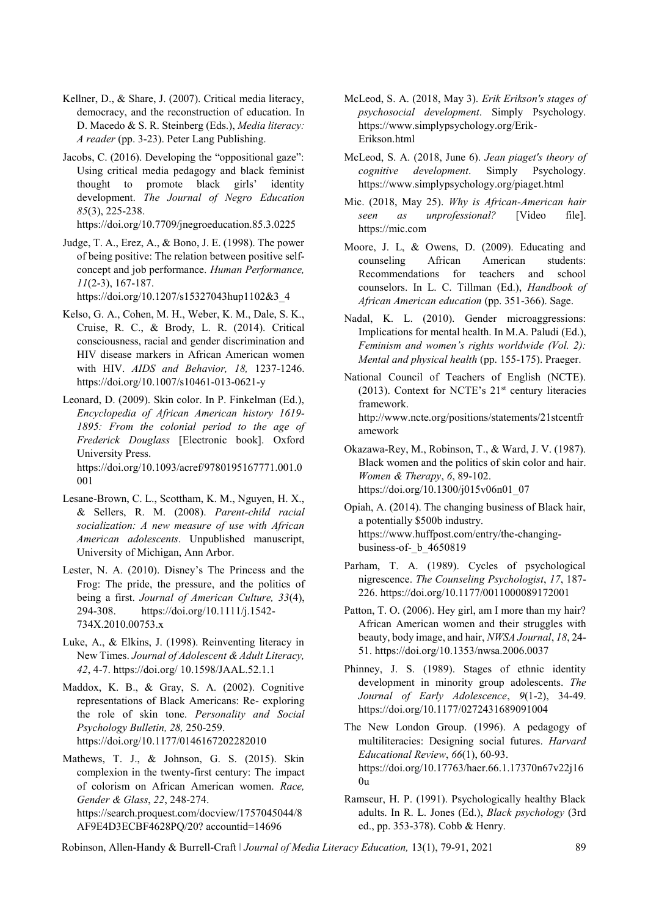- Kellner, D., & Share, J. (2007). Critical media literacy, democracy, and the reconstruction of education. In D. Macedo & S. R. Steinberg (Eds.), *Media literacy: A reader* (pp. 3-23). Peter Lang Publishing.
- Jacobs, C. (2016). Developing the "oppositional gaze": Using critical media pedagogy and black feminist thought to promote black girls' identity development. *The Journal of Negro Education 85*(3), 225-238.

<https://doi.org/10.7709/jnegroeducation.85.3.0225>

Judge, T. A., Erez, A., & Bono, J. E. (1998). The power of being positive: The relation between positive selfconcept and job performance. *Human Performance, 11*(2-3), 167-187.

[https://doi.org/10.1207/s15327043hup1102&3\\_4](https://doi.org/10.1207/s15327043hup1102&3_4)

- Kelso, G. A., Cohen, M. H., Weber, K. M., Dale, S. K., Cruise, R. C., & Brody, L. R. (2014). Critical consciousness, racial and gender discrimination and HIV disease markers in African American women with HIV. *AIDS and Behavior, 18,* 1237-1246. <https://doi.org/10.1007/s10461-013-0621-y>
- Leonard, D. (2009). Skin color. In P. Finkelman (Ed.), *Encyclopedia of African American history 1619- 1895: From the colonial period to the age of Frederick Douglass* [Electronic book]. Oxford University Press. [https://doi.org/10.1093/acref/9780195167771.001.0](https://doi.org/10.1093/acref/9780195167771.001.0001) [001](https://doi.org/10.1093/acref/9780195167771.001.0001)
- Lesane-Brown, C. L., Scottham, K. M., Nguyen, H. X., & Sellers, R. M. (2008). *Parent-child racial socialization: A new measure of use with African American adolescents*. Unpublished manuscript, University of Michigan, Ann Arbor.
- Lester, N. A. (2010). Disney's The Princess and the Frog: The pride, the pressure, and the politics of being a first. *Journal of American Culture, 33*(4), 294-308. [https://doi.org/10.1111/j.1542-](https://doi.org/10.1111/j.1542-734X.2010.00753.x) [734X.2010.00753.x](https://doi.org/10.1111/j.1542-734X.2010.00753.x)
- Luke, A., & Elkins, J. (1998). Reinventing literacy in New Times. *Journal of Adolescent & Adult Literacy, 42*, 4-7. [https://doi.org/ 10.1598/JAAL.52.1.1](https://doi.org/%2010.1598/JAAL.52.1.1)
- Maddox, K. B., & Gray, S. A. (2002). Cognitive representations of Black Americans: Re- exploring the role of skin tone. *Personality and Social Psychology Bulletin, 28,* 250-259. <https://doi.org/10.1177/0146167202282010>
- Mathews, T. J., & Johnson, G. S. (2015). Skin complexion in the twenty-first century: The impact of colorism on African American women. *Race, Gender & Glass*, *22*, 248-274. [https://search.proquest.com/docview/1757045044/8](https://search.proquest.com/docview/1757045044/8AF9E4D3ECBF4628PQ/20?accountid=14696) [AF9E4D3ECBF4628PQ/20?](https://search.proquest.com/docview/1757045044/8AF9E4D3ECBF4628PQ/20?accountid=14696) accountid=14696
- McLeod, S. A. (2018, May 3). *Erik Erikson's stages of psychosocial development*. Simply Psycholog[y.](https://www.simplypsychology.org/Erik-Erikson.html) [https://www.simplypsychology.org/Erik-](https://www.simplypsychology.org/Erik-Erikson.html)[Erikson.html](https://www.simplypsychology.org/Erik-Erikson.html)
- McLeod, S. A. (2018, June 6). *Jean piaget's theory of cognitive development*. Simply Psychology. <https://www.simplypsychology.org/piaget.html>
- Mic. (2018, May 25). *Why is African-American hair seen as unprofessional?* [Video file]. [https://mic.com](https://mic.com/)
- Moore, J. L, & Owens, D. (2009). Educating and counseling African American students: Recommendations for teachers and school counselors. In L. C. Tillman (Ed.), *Handbook of African American education* (pp. 351-366). Sage.
- Nadal, K. L. (2010). Gender microaggressions: Implications for mental health. In M.A. Paludi (Ed.), *Feminism and women's rights worldwide (Vol. 2): Mental and physical health* (pp. 155-175). Praeger.
- National Council of Teachers of English (NCTE). (2013). Context for NCTE's  $21<sup>st</sup>$  century literacies framework. [http://www.ncte.org/positions/statements/21stcentfr](http://www.ncte.org/positions/statements/21stcentframework) [amework](http://www.ncte.org/positions/statements/21stcentframework)
- Okazawa-Rey, M., Robinson, T., & Ward, J. V. (1987). Black women and the politics of skin color and hair. *Women & Therapy*, *6*, 89-102. [https://doi.org/10.1300/j015v06n01\\_07](https://doi.org/10.1300/j015v06n01_07)
- Opiah, A. (2014). The changing business of Black hair, a potentially \$500b industry. [https://www.huffpost.com/entry/the-changing](https://www.huffpost.com/entry/the-changing-business-of-_b_4650819)business-of- b 4650819
- Parham, T. A. (1989). Cycles of psychological nigrescence. *The Counseling Psychologist*, *17*, 187- 226[. https://doi.org/10.1177/0011000089172001](https://doi.org/10.1177/0011000089172001)
- Patton, T. O. (2006). Hey girl, am I more than my hair? African American women and their struggles with beauty, body image, and hair, *NWSA Journal*, *18*, 24- 51. <https://doi.org/10.1353/nwsa.2006.0037>
- Phinney, J. S. (1989). Stages of ethnic identity development in minority group adolescents. *The Journal of Early Adolescence*, *9*(1-2), 34-49. <https://doi.org/10.1177/0272431689091004>
- The New London Group. (1996). A pedagogy of multiliteracies: Designing social futures. *Harvard Educational Review*, *66*(1), 60-93. [https://doi.org/10.17763/haer.66.1.17370n67v22j16](https://doi.org/10.17763/haer.66.1.17370n67v22j160u)  $0<sub>u</sub>$
- Ramseur, H. P. (1991). Psychologically healthy Black adults. In R. L. Jones (Ed.), *Black psychology* (3rd ed., pp. 353-378). Cobb & Henry.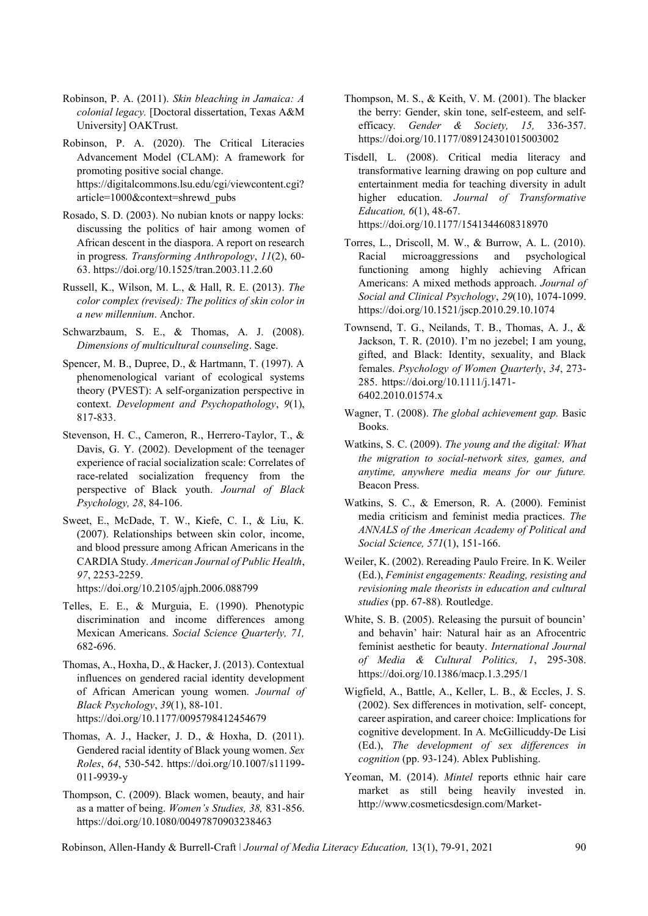- Robinson, P. A. (2011). *Skin bleaching in Jamaica: A colonial legacy.* [Doctoral dissertation, Texas A&M University] OAKTrust.
- Robinson, P. A. (2020). The Critical Literacies Advancement Model (CLAM): A framework for promoting positive social change. [https://digitalcommons.lsu.edu/cgi/viewcontent.cgi?](https://digitalcommons.lsu.edu/cgi/viewcontent.cgi?article=1000&context=shrewd_pubs) [article=1000&context=shrewd\\_pubs](https://digitalcommons.lsu.edu/cgi/viewcontent.cgi?article=1000&context=shrewd_pubs)
- Rosado, S. D. (2003). No nubian knots or nappy locks: discussing the politics of hair among women of African descent in the diaspora. A report on research in progress. *Transforming Anthropology*, *11*(2), 60- 63[. https://doi.org/10.1525/tran.2003.11.2.60](https://doi.org/10.1525/tran.2003.11.2.60)
- Russell, K., Wilson, M. L., & Hall, R. E. (2013). *The color complex (revised): The politics of skin color in a new millennium*. Anchor.
- Schwarzbaum, S. E., & Thomas, A. J. (2008). *Dimensions of multicultural counseling*. Sage.
- Spencer, M. B., Dupree, D., & Hartmann, T. (1997). A phenomenological variant of ecological systems theory (PVEST): A self-organization perspective in context. *Development and Psychopathology*, *9*(1), 817-833.
- Stevenson, H. C., Cameron, R., Herrero-Taylor, T., & Davis, G. Y. (2002). Development of the teenager experience of racial socialization scale: Correlates of race-related socialization frequency from the perspective of Black youth. *Journal of Black Psychology, 28*, 84-106.
- Sweet, E., McDade, T. W., Kiefe, C. I., & Liu, K. (2007). Relationships between skin color, income, and blood pressure among African Americans in the CARDIA Study. *American Journal of Public Health*, *97*, 2253-2259.

<https://doi.org/10.2105/ajph.2006.088799>

- Telles, E. E., & Murguia, E. (1990). Phenotypic discrimination and income differences among Mexican Americans. *Social Science Quarterly, 71,* 682-696.
- Thomas, A., Hoxha, D., & Hacker, J. (2013). Contextual influences on gendered racial identity development of African American young women. *Journal of Black Psychology*, *39*(1), 88-101. <https://doi.org/10.1177/0095798412454679>
- Thomas, A. J., Hacker, J. D., & Hoxha, D. (2011). Gendered racial identity of Black young women. *Sex Roles*, *64*, 530-542. [https://doi.org/10.1007/s11199-](https://doi.org/10.1007/s11199-011-9939-y) [011-9939-y](https://doi.org/10.1007/s11199-011-9939-y)
- Thompson, C. (2009). Black women, beauty, and hair as a matter of being. *Women's Studies, 38,* 831-856. <https://doi.org/10.1080/00497870903238463>
- Thompson, M. S., & Keith, V. M. (2001). The blacker the berry: Gender, skin tone, self-esteem, and selfefficacy*. Gender & Society, 15,* 336-357. <https://doi.org/10.1177/089124301015003002>
- Tisdell, L. (2008). Critical media literacy and transformative learning drawing on pop culture and entertainment media for teaching diversity in adult higher education. *Journal of Transformative Education, 6*(1), 48-67. <https://doi.org/10.1177/1541344608318970>
- Torres, L., Driscoll, M. W., & Burrow, A. L. (2010). Racial microaggressions and psychological functioning among highly achieving African Americans: A mixed methods approach. *Journal of Social and Clinical Psychology*, *29*(10), 1074-1099. <https://doi.org/10.1521/jscp.2010.29.10.1074>
- Townsend, T. G., Neilands, T. B., Thomas, A. J., & Jackson, T. R. (2010). I'm no jezebel; I am young, gifted, and Black: Identity, sexuality, and Black females. *Psychology of Women Quarterly*, *34*, 273- 285. [https://doi.org/10.1111/j.1471-](https://doi.org/10.1111/j.1471-6402.2010.01574.x) [6402.2010.01574.x](https://doi.org/10.1111/j.1471-6402.2010.01574.x)
- Wagner, T. (2008). *The global achievement gap.* Basic Books.
- Watkins, S. C. (2009). *The young and the digital: What the migration to social-network sites, games, and anytime, anywhere media means for our future.* Beacon Press.
- Watkins, S. C., & Emerson, R. A. (2000). Feminist media criticism and feminist media practices. *The ANNALS of the American Academy of Political and Social Science, 571*(1), 151-166.
- Weiler, K. (2002). Rereading Paulo Freire. In K. Weiler (Ed.), *Feminist engagements: Reading, resisting and revisioning male theorists in education and cultural studies* (pp. 67-88)*.* Routledge.
- White, S. B. (2005). Releasing the pursuit of bouncin' and behavin' hair: Natural hair as an Afrocentric feminist aesthetic for beauty. *International Journal of Media & Cultural Politics, 1*, 295-308. <https://doi.org/10.1386/macp.1.3.295/1>
- Wigfield, A., Battle, A., Keller, L. B., & Eccles, J. S. (2002). Sex differences in motivation, self- concept, career aspiration, and career choice: Implications for cognitive development. In A. McGillicuddy-De Lisi (Ed.), *The development of sex differences in cognition* (pp. 93-124). Ablex Publishing.
- Yeoman, M. (2014). *Mintel* reports ethnic hair care market as still being heavily invested in. [http://www.cosmeticsdesign.com/Market-](http://www.cosmeticsdesign.com/Market-Trends/Mintel-reports-ethnic-haircare-market-%20as-still-being-heavily-invested-in)